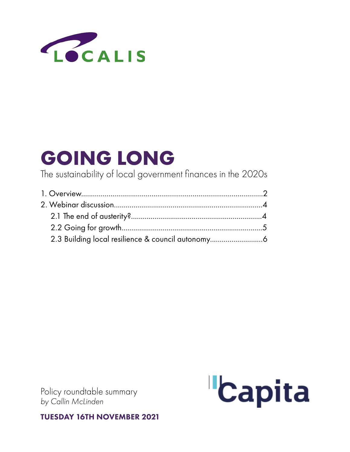

The sustainability of local government finances in the 2020s

Policy roundtable summary *by Callin McLinden* 



TUESDAY 16TH NOVEMBER 2021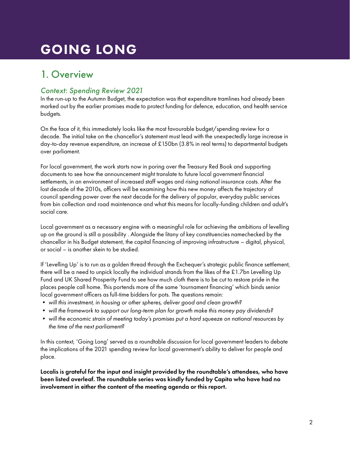## 1. Overview

### *Context: Spending Review 2021*

In the run-up to the Autumn Budget, the expectation was that expenditure tramlines had already been marked out by the earlier promises made to protect funding for defence, education, and health service budgets.

On the face of it, this immediately looks like the most favourable budget/spending review for a decade. The initial take on the chancellor's statement must lead with the unexpectedly large increase in day-to-day revenue expenditure, an increase of £150bn (3.8% in real terms) to departmental budgets over parliament.

For local government, the work starts now in poring over the Treasury Red Book and supporting documents to see how the announcement might translate to future local government financial settlements, in an environment of increased staff wages and rising national insurance costs. After the lost decade of the 2010s, officers will be examining how this new money affects the trajectory of council spending power over the next decade for the delivery of popular, everyday public services from bin collection and road maintenance and what this means for locally-funding children and adult's social care.

Local government as a necessary engine with a meaningful role for achieving the ambitions of levelling up on the ground is still a possibility . Alongside the litany of key constituencies namechecked by the chancellor in his Budget statement, the capital financing of improving infrastructure – digital, physical, or social – is another skein to be studied.

If 'Levelling Up' is to run as a golden thread through the Exchequer's strategic public finance settlement, there will be a need to unpick locally the individual strands from the likes of the £1.7bn Levelling Up Fund and UK Shared Prosperity Fund to see how much cloth there is to be cut to restore pride in the places people call home. This portends more of the same 'tournament financing' which binds senior local government officers as full-time bidders for pots. The questions remain:

- *• will this investment, in housing or other spheres, deliver good and clean growth?*
- *• will the framework to support our long-term plan for growth make this money pay dividends?*
- *• will the economic strain of meeting today's promises put a hard squeeze on national resources by the time of the next parliament?*

In this context, 'Going Long' served as a roundtable discussion for local government leaders to debate the implications of the 2021 spending review for local government's ability to deliver for people and place.

Localis is grateful for the input and insight provided by the roundtable's attendees, who have been listed overleaf. The roundtable series was kindly funded by Capita who have had no involvement in either the content of the meeting agenda or this report.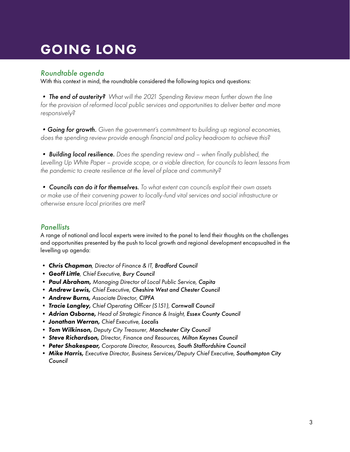### *Roundtable agenda*

With this context in mind, the roundtable considered the following topics and questions:

*• The end of austerity? What will the 2021 Spending Review mean further down the line*  for the provision of reformed local public services and opportunities to deliver better and more *responsively?*

*•Going for growth. Given the government's commitment to building up regional economies, does the spending review provide enough financial and policy headroom to achieve this?*

*• Building local resilience. Does the spending review and – when finally published, the Levelling Up White Paper – provide scope, or a viable direction, for councils to learn lessons from the pandemic to create resilience at the level of place and community?*

*• Councils can do it for themselves. To what extent can councils exploit their own assets or make use of their convening power to locally-fund vital services and social infrastructure or otherwise ensure local priorities are met?*

### *Panellists*

A range of national and local experts were invited to the panel to lend their thoughts on the challenges and opportunities presented by the push to local growth and regional development encapsualted in the levelling up agenda:

- *• Chris Chapman, Director of Finance & IT, Bradford Council*
- *• Geoff Little, Chief Executive, Bury Council*
- *• Paul Abraham, Managing Director of Local Public Service, Capita*
- *• Andrew Lewis, Chief Executive, Cheshire West and Chester Council*
- *• Andrew Burns, Associate Director, CIPFA*
- *• Tracie Langley, Chief Operating Officer (S151), Cornwall Council*
- *• Adrian Osborne, Head of Strategic Finance & Insight, Essex County Council*
- *• Jonathan Werran, Chief Executive, Localis*
- *• Tom Wilkinson, Deputy City Treasurer, Manchester City Council*
- *• Steve Richardson, DIrector, Finance and Resources, Milton Keynes Council*
- *• Peter Shakespear, Corporate Director, Resources, South Staffordshire Council*
- Mike Harris, Executive Director, Business Services/Deputy Chief Executive, Southampton City *Council*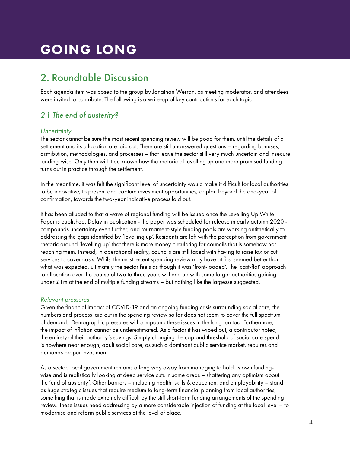## <span id="page-3-0"></span>2. Roundtable Discussion

Each agenda item was posed to the group by Jonathan Werran, as meeting moderator, and attendees were invited to contribute. The following is a write-up of key contributions for each topic.

### *2.1 The end of austerity?*

#### *Uncertainty*

The sector cannot be sure the most recent spending review will be good for them, until the details of a settlement and its allocation are laid out. There are still unanswered questions – regarding bonuses, distribution, methodologies, and processes – that leave the sector still very much uncertain and insecure funding-wise. Only then will it be known how the rhetoric of levelling up and more promised funding turns out in practice through the settlement.

In the meantime, it was felt the significant level of uncertainty would make it difficult for local authorities to be innovative, to present and capture investment opportunities, or plan beyond the one-year of confirmation, towards the two-year indicative process laid out.

It has been alluded to that a wave of regional funding will be issued once the Levelling Up White Paper is published. Delay in publication - the paper was scheduled for release in early autumn 2020 compounds uncertainty even further, and tournament-style funding pools are working antithetically to addressing the gaps identified by 'levelling up'. Residents are left with the perception from government rhetoric around 'levelling up' that there is more money circulating for councils that is somehow not reaching them. Instead, in operational reality, councils are still faced with having to raise tax or cut services to cover costs. Whilst the most recent spending review may have at first seemed better than what was expected, ultimately the sector feels as though it was 'front-loaded'. The 'cast-flat' approach to allocation over the course of two to three years will end up with some larger authorities gaining under £1m at the end of multiple funding streams – but nothing like the largesse suggested.

#### *Relevant pressures*

Given the financial impact of COVID-19 and an ongoing funding crisis surrounding social care, the numbers and process laid out in the spending review so far does not seem to cover the full spectrum of demand. Demographic pressures will compound these issues in the long run too. Furthermore, the impact of inflation cannot be underestimated. As a factor it has wiped out, a contributor noted, the entirety of their authority's savings. Simply changing the cap and threshold of social care spend is nowhere near enough; adult social care, as such a dominant public service market, requires and demands proper investment.

As a sector, local government remains a long way away from managing to hold its own fundingwise and is realistically looking at deep service cuts in some areas – shattering any optimism about the 'end of austerity'. Other barriers – including health, skills & education, and employability – stand as huge strategic issues that require medium to long-term financial planning from local authorities, something that is made extremely difficult by the still short-term funding arrangements of the spending review. These issues need addressing by a more considerable injection of funding at the local level – to modernise and reform public services at the level of place.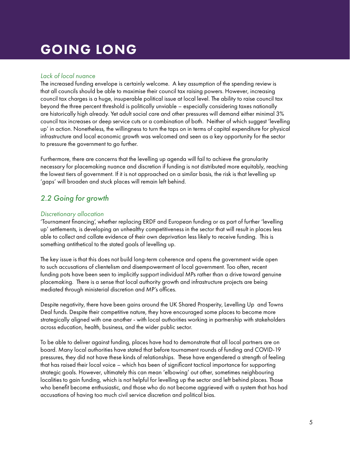#### <span id="page-4-0"></span>*Lack of local nuance*

The increased funding envelope is certainly welcome. A key assumption of the spending review is that all councils should be able to maximise their council tax raising powers. However, increasing council tax charges is a huge, insuperable political issue at local level. The ability to raise council tax beyond the three percent threshold is politically unviable – especially considering taxes nationally are historically high already. Yet adult social care and other pressures will demand either minimal 3% council tax increases or deep service cuts or a combination of both. Neither of which suggest 'levelling up' in action. Nonetheless, the willingness to turn the taps on in terms of capital expenditure for physical infrastructure and local economic growth was welcomed and seen as a key opportunity for the sector to pressure the government to go further.

Furthermore, there are concerns that the levelling up agenda will fail to achieve the granularity necessary for placemaking nuance and discretion if funding is not distributed more equitably, reaching the lowest tiers of government. If it is not approached on a similar basis, the risk is that levelling up 'gaps' will broaden and stuck places will remain left behind.

### *2.2 Going for growth*

#### *Discretionary allocation*

'Tournament financing', whether replacing ERDF and European funding or as part of further 'levelling up' settlements, is developing an unhealthy competitiveness in the sector that will result in places less able to collect and collate evidence of their own deprivation less likely to receive funding. This is something antithetical to the stated goals of levelling up.

The key issue is that this does not build long-term coherence and opens the government wide open to such accusations of clientelism and disempowerment of local government. Too often, recent funding pots have been seen to implicitly support individual MPs rather than a drive toward genuine placemaking. There is a sense that local authority growth and infrastructure projects are being mediated through ministerial discretion and MP's offices.

Despite negativity, there have been gains around the UK Shared Prosperity, Levelling Up and Towns Deal funds. Despite their competitive nature, they have encouraged some places to become more strategically aligned with one another - with local authorities working in partnership with stakeholders across education, health, business, and the wider public sector.

To be able to deliver against funding, places have had to demonstrate that all local partners are on board. Many local authorities have stated that before tournament rounds of funding and COVID-19 pressures, they did not have these kinds of relationships. These have engendered a strength of feeling that has raised their local voice – which has been of significant tactical importance for supporting strategic goals. However, ultimately this can mean 'elbowing' out other, sometimes neighbouring localities to gain funding, which is not helpful for levelling up the sector and left behind places. Those who benefit become enthusiastic, and those who do not become aggrieved with a system that has had accusations of having too much civil service discretion and political bias.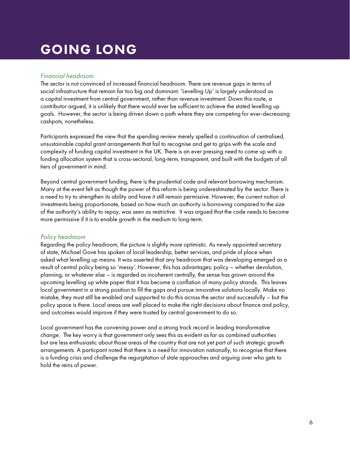#### *Financial headroom*

The sector is not convinced of increased financial headroom. There are revenue gaps in terms of social infrastructure that remain far too big and dominant. 'Levelling Up' is largely understood as a capital investment from central government, rather than revenue investment. Down this route, a contributor argued, it is unlikely that there would ever be sufficient to achieve the stated levelling up goals. However, the sector is being driven down a path where they are competing for ever-decreasing cashpots, nonetheless.

Participants expressed the view that the spending review merely spelled a continuation of centralised, unsustainable capital grant arrangements that fail to recognise and get to grips with the scale and complexity of funding capital investment in the UK. There is an ever pressing need to come up with a funding allocation system that is cross-sectoral, long-term, transparent, and built with the budgets of all tiers of government in mind.

Beyond central government funding, there is the prudential code and relevant borrowing mechanism. Many at the event felt as though the power of this reform is being underestimated by the sector. There is a need to try to strengthen its ability and have it still remain permissive. However, the current notion of investments being proportionate, based on how much an authority is borrowing compared to the size of the authority's ability to repay, was seen as restrictive. It was argued that the code needs to become more permissive if it is to enable growth in the medium to long-term.

#### *Policy headroom*

Regarding the policy headroom, the picture is slightly more optimistic. As newly appointed secretary of state, Michael Gove has spoken of local leadership, better services, and pride of place when asked what levelling up means. It was asserted that any headroom that was developing emerged as a result of central policy being so 'messy'. However, this has advantages; policy – whether devolution, planning, or whatever else – is regarded as incoherent centrally, the sense has grown around the upcoming levelling up white paper that it has become a conflation of many policy strands. This leaves local government in a strong position to fill the gaps and pursue innovative solutions locally. Make no mistake, they must still be enabled and supported to do this across the sector and successfully – but the policy space is there. Local areas are well placed to make the right decisions about finance and policy, and outcomes would improve if they were trusted by central government to do so.

Local government has the convening power and a strong track record in leading transformative change. The key worry is that government only sees this as evident as far as combined authorities but are less enthusiastic about those areas of the country that are not yet part of such strategic growth arrangements. A particpant noted that there is a need for innovation nationally, to recognise that there is a funding crisis and challenge the regurgitation of stale approaches and arguing over who gets to hold the reins of power.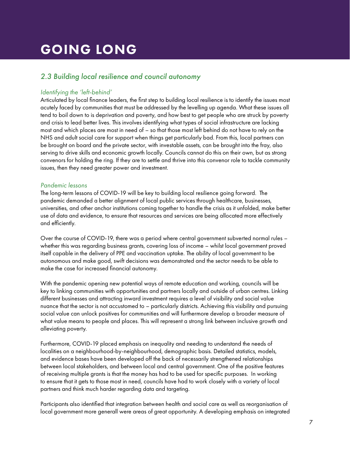### <span id="page-6-0"></span>*2.3 Building local resilience and council autonomy*

#### *Identifying the 'left-behind'*

Articulated by local finance leaders, the first step to building local resilience is to identify the issues most acutely faced by communities that must be addressed by the levelling up agenda. What these issues all tend to boil down to is deprivation and poverty, and how best to get people who are struck by poverty and crisis to lead better lives. This involves identifying what types of social infrastructure are lacking most and which places are most in need of – so that those most left behind do not have to rely on the NHS and adult social care for support when things get particularly bad. From this, local partners can be brought on board and the private sector, with investable assets, can be brought into the fray, also serving to drive skills and economic growth locally. Councils cannot do this on their own, but as strong convenors for holding the ring. If they are to settle and thrive into this convenor role to tackle community issues, then they need greater power and investment.

#### *Pandemic lessons*

The long-term lessons of COVID-19 will be key to building local resilience going forward. The pandemic demanded a better alignment of local public services through healthcare, businesses, universities, and other anchor institutions coming together to handle the crisis as it unfolded, make better use of data and evidence, to ensure that resources and services are being allocated more effectively and efficiently.

Over the course of COVID-19, there was a period where central government subverted normal rules – whether this was regarding business grants, covering loss of income – whilst local government proved itself capable in the delivery of PPE and vaccination uptake. The ability of local government to be autonomous and make good, swift decisions was demonstrated and the sector needs to be able to make the case for increased financial autonomy.

With the pandemic opening new potential ways of remote education and working, councils will be key to linking communities with opportunities and partners locally and outside of urban centres. Linking different businesses and attracting inward investment requires a level of visibility and social value nuance that the sector is not accustomed to – particularly districts. Achieving this visibility and pursuing social value can unlock positives for communities and will furthermore develop a broader measure of what value means to people and places. This will represent a strong link between inclusive growth and alleviating poverty.

Furthermore, COVID-19 placed emphasis on inequality and needing to understand the needs of localities on a neighbourhood-by-neighbourhood, demographic basis. Detailed statistics, models, and evidence bases have been developed off the back of necessarily strengthened relationships between local stakeholders, and between local and central government. One of the positive features of receiving multiple grants is that the money has had to be used for specific purposes. In working to ensure that it gets to those most in need, councils have had to work closely with a variety of local partners and think much harder regarding data and targeting.

Participants also identified that integration between health and social care as well as reorganisation of local government more generall were areas of great opportunity. A developing emphasis on integrated